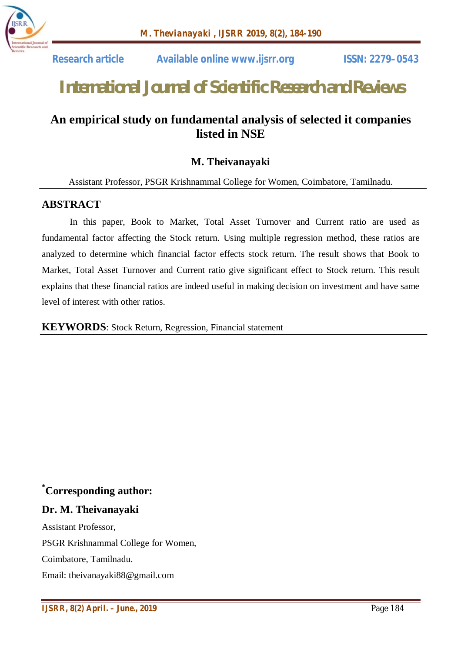

 **Research article Available online www.ijsrr.org ISSN: 2279–0543**

# *International Journal of Scientific Research and Reviews*

# **An empirical study on fundamental analysis of selected it companies listed in NSE**

## **M. Theivanayaki**

Assistant Professor, PSGR Krishnammal College for Women, Coimbatore, Tamilnadu.

## **ABSTRACT**

In this paper, Book to Market, Total Asset Turnover and Current ratio are used as fundamental factor affecting the Stock return. Using multiple regression method, these ratios are analyzed to determine which financial factor effects stock return. The result shows that Book to Market, Total Asset Turnover and Current ratio give significant effect to Stock return. This result explains that these financial ratios are indeed useful in making decision on investment and have same level of interest with other ratios.

#### **KEYWORDS**: Stock Return, Regression, Financial statement

## **\*Corresponding author:**

## **Dr. M. Theivanayaki**

Assistant Professor, PSGR Krishnammal College for Women, Coimbatore, Tamilnadu. Email: theivanayaki88@gmail.com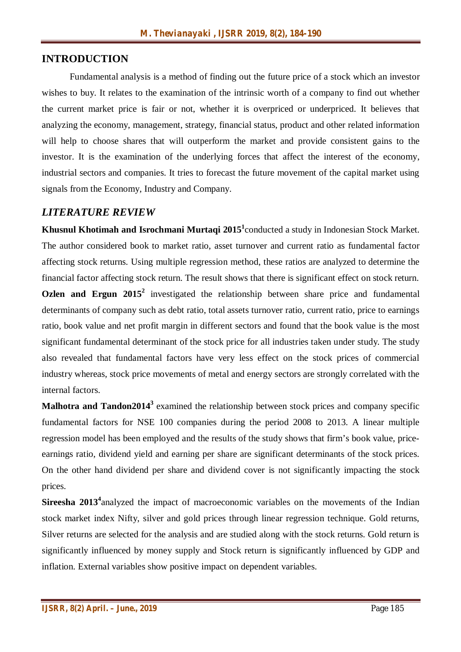## **INTRODUCTION**

Fundamental analysis is a method of finding out the future price of a stock which an investor wishes to buy. It relates to the examination of the intrinsic worth of a company to find out whether the current market price is fair or not, whether it is overpriced or underpriced. It believes that analyzing the economy, management, strategy, financial status, product and other related information will help to choose shares that will outperform the market and provide consistent gains to the investor. It is the examination of the underlying forces that affect the interest of the economy, industrial sectors and companies. It tries to forecast the future movement of the capital market using signals from the Economy, Industry and Company.

## *LITERATURE REVIEW*

**Khusnul Khotimah and Isrochmani Murtaqi 2015<sup>1</sup>** conducted a study in Indonesian Stock Market. The author considered book to market ratio, asset turnover and current ratio as fundamental factor affecting stock returns. Using multiple regression method, these ratios are analyzed to determine the financial factor affecting stock return. The result shows that there is significant effect on stock return. **Ozlen and Ergun 2015<sup>2</sup>** investigated the relationship between share price and fundamental determinants of company such as debt ratio, total assets turnover ratio, current ratio, price to earnings ratio, book value and net profit margin in different sectors and found that the book value is the most significant fundamental determinant of the stock price for all industries taken under study. The study also revealed that fundamental factors have very less effect on the stock prices of commercial industry whereas, stock price movements of metal and energy sectors are strongly correlated with the internal factors.

**Malhotra and Tandon2014<sup>3</sup>** examined the relationship between stock prices and company specific fundamental factors for NSE 100 companies during the period 2008 to 2013. A linear multiple regression model has been employed and the results of the study shows that firm's book value, priceearnings ratio, dividend yield and earning per share are significant determinants of the stock prices. On the other hand dividend per share and dividend cover is not significantly impacting the stock prices.

Sireesha 2013<sup>4</sup> analyzed the impact of macroeconomic variables on the movements of the Indian stock market index Nifty, silver and gold prices through linear regression technique. Gold returns, Silver returns are selected for the analysis and are studied along with the stock returns. Gold return is significantly influenced by money supply and Stock return is significantly influenced by GDP and inflation. External variables show positive impact on dependent variables.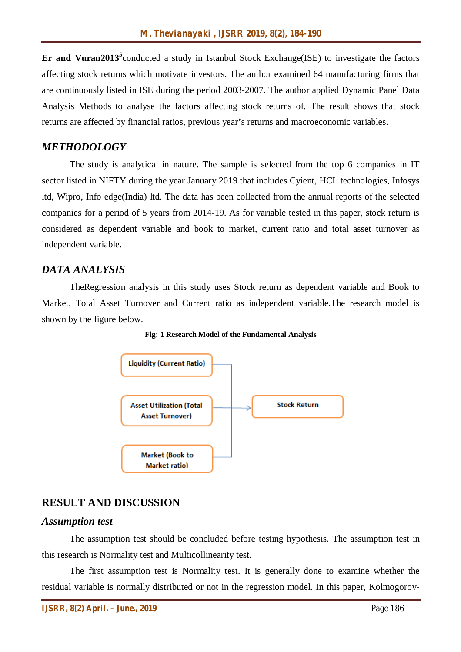Er and Vuran2013<sup>5</sup> conducted a study in Istanbul Stock Exchange(ISE) to investigate the factors affecting stock returns which motivate investors. The author examined 64 manufacturing firms that are continuously listed in ISE during the period 2003-2007. The author applied Dynamic Panel Data Analysis Methods to analyse the factors affecting stock returns of. The result shows that stock returns are affected by financial ratios, previous year's returns and macroeconomic variables.

## *METHODOLOGY*

The study is analytical in nature. The sample is selected from the top 6 companies in IT sector listed in NIFTY during the year January 2019 that includes Cyient, HCL technologies, Infosys ltd, Wipro, Info edge(India) ltd. The data has been collected from the annual reports of the selected companies for a period of 5 years from 2014-19. As for variable tested in this paper, stock return is considered as dependent variable and book to market, current ratio and total asset turnover as independent variable.

## *DATA ANALYSIS*

TheRegression analysis in this study uses Stock return as dependent variable and Book to Market, Total Asset Turnover and Current ratio as independent variable.The research model is shown by the figure below.



**Fig: 1 Research Model of the Fundamental Analysis**

## **RESULT AND DISCUSSION**

#### *Assumption test*

The assumption test should be concluded before testing hypothesis. The assumption test in this research is Normality test and Multicollinearity test.

The first assumption test is Normality test. It is generally done to examine whether the residual variable is normally distributed or not in the regression model. In this paper, Kolmogorov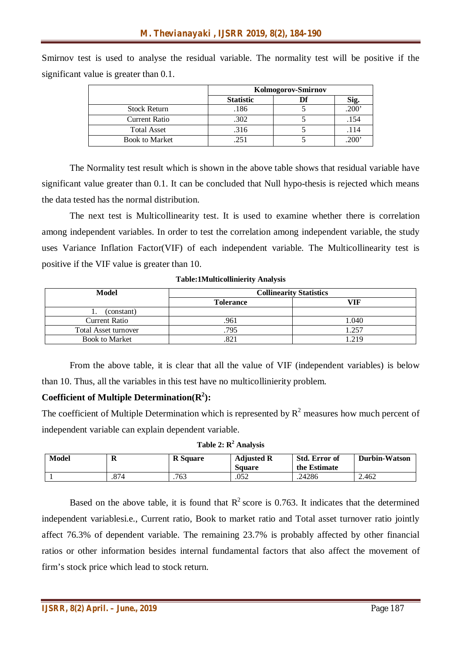Smirnov test is used to analyse the residual variable. The normality test will be positive if the significant value is greater than 0.1.

|                       | Kolmogorov-Smirnov |  |       |
|-----------------------|--------------------|--|-------|
|                       | <b>Statistic</b>   |  | Sig.  |
| <b>Stock Return</b>   | .186               |  | .200' |
| Current Ratio         | .302               |  | .154  |
| <b>Total Asset</b>    | .316               |  | .114  |
| <b>Book to Market</b> | .251               |  | .200  |

The Normality test result which is shown in the above table shows that residual variable have significant value greater than 0.1. It can be concluded that Null hypo-thesis is rejected which means the data tested has the normal distribution.

The next test is Multicollinearity test. It is used to examine whether there is correlation among independent variables. In order to test the correlation among independent variable, the study uses Variance Inflation Factor(VIF) of each independent variable. The Multicollinearity test is positive if the VIF value is greater than 10.

**Table:1Multicollinierity Analysis**

| Model                       | <b>Collinearity Statistics</b> |       |  |
|-----------------------------|--------------------------------|-------|--|
|                             | <b>Tolerance</b>               | VIF   |  |
| (constant)                  |                                |       |  |
| <b>Current Ratio</b>        | .961                           | 1.040 |  |
| <b>Total Asset turnover</b> | .795                           | 1.257 |  |
| <b>Book to Market</b>       |                                | 1.219 |  |

From the above table, it is clear that all the value of VIF (independent variables) is below than 10. Thus, all the variables in this test have no multicollinierity problem.

### **Coefficient of Multiple Determination(R<sup>2</sup> ):**

The coefficient of Multiple Determination which is represented by  $R^2$  measures how much percent of independent variable can explain dependent variable.

|  |  |  | Table 2: $R^2$ Analysis |
|--|--|--|-------------------------|
|--|--|--|-------------------------|

| Model | 77   | <b>R</b> Square | <b>Adjusted R</b><br><b>Square</b> | Std. Error of<br>the Estimate | <b>Durbin-Watson</b> |
|-------|------|-----------------|------------------------------------|-------------------------------|----------------------|
|       | .874 | .763            | .052                               | .24286                        | 2.462                |

Based on the above table, it is found that  $R^2$  score is 0.763. It indicates that the determined independent variablesi.e., Current ratio, Book to market ratio and Total asset turnover ratio jointly affect 76.3% of dependent variable. The remaining 23.7% is probably affected by other financial ratios or other information besides internal fundamental factors that also affect the movement of firm's stock price which lead to stock return.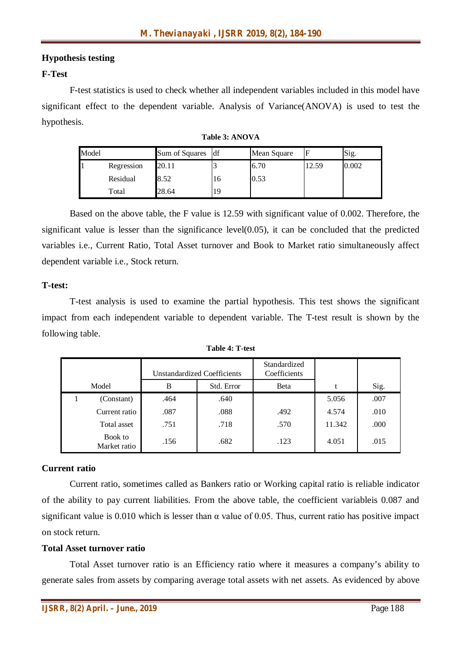#### **Hypothesis testing**

#### **F-Test**

F-test statistics is used to check whether all independent variables included in this model have significant effect to the dependent variable. Analysis of Variance(ANOVA) is used to test the hypothesis.

| Model |            | Sum of Squares | ldf | Mean Square | ь     | Sig.  |
|-------|------------|----------------|-----|-------------|-------|-------|
|       | Regression | 20.11          |     | 6.70        | 12.59 | 0.002 |
|       | Residual   | 8.52           | 16  | 0.53        |       |       |
|       | Total      | 28.64          | 19  |             |       |       |

Based on the above table, the F value is 12.59 with significant value of 0.002. Therefore, the significant value is lesser than the significance level $(0.05)$ , it can be concluded that the predicted variables i.e., Current Ratio, Total Asset turnover and Book to Market ratio simultaneously affect dependent variable i.e., Stock return.

#### **T-test:**

T-test analysis is used to examine the partial hypothesis. This test shows the significant impact from each independent variable to dependent variable. The T-test result is shown by the following table.

|                         | Unstandardized Coefficients |            | Standardized<br>Coefficients |        |      |
|-------------------------|-----------------------------|------------|------------------------------|--------|------|
| Model                   | B                           | Std. Error | Beta                         | t      | Sig. |
| (Constant)              | .464                        | .640       |                              | 5.056  | .007 |
| Current ratio           | .087                        | .088       | .492                         | 4.574  | .010 |
| Total asset             | .751                        | .718       | .570                         | 11.342 | .000 |
| Book to<br>Market ratio | .156                        | .682       | .123                         | 4.051  | .015 |

**Table 4: T-test**

#### **Current ratio**

Current ratio, sometimes called as Bankers ratio or Working capital ratio is reliable indicator of the ability to pay current liabilities. From the above table, the coefficient variableis 0.087 and significant value is 0.010 which is lesser than  $\alpha$  value of 0.05. Thus, current ratio has positive impact on stock return.

#### **Total Asset turnover ratio**

Total Asset turnover ratio is an Efficiency ratio where it measures a company's ability to generate sales from assets by comparing average total assets with net assets. As evidenced by above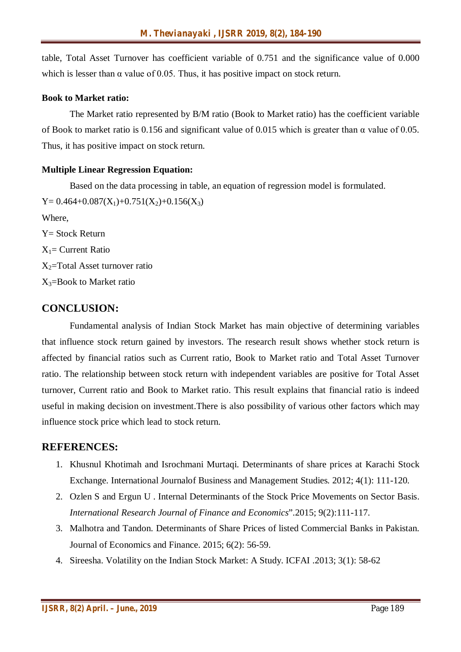table, Total Asset Turnover has coefficient variable of 0.751 and the significance value of 0.000 which is lesser than  $\alpha$  value of 0.05. Thus, it has positive impact on stock return.

#### **Book to Market ratio:**

The Market ratio represented by B/M ratio (Book to Market ratio) has the coefficient variable of Book to market ratio is 0.156 and significant value of 0.015 which is greater than α value of 0.05. Thus, it has positive impact on stock return.

#### **Multiple Linear Regression Equation:**

Based on the data processing in table, an equation of regression model is formulated.  $Y= 0.464+0.087(X_1)+0.751(X_2)+0.156(X_3)$ Where, Y= Stock Return  $X_1$ = Current Ratio  $X_2$ =Total Asset turnover ratio  $X_3$ =Book to Market ratio

## **CONCLUSION:**

Fundamental analysis of Indian Stock Market has main objective of determining variables that influence stock return gained by investors. The research result shows whether stock return is affected by financial ratios such as Current ratio, Book to Market ratio and Total Asset Turnover ratio. The relationship between stock return with independent variables are positive for Total Asset turnover, Current ratio and Book to Market ratio. This result explains that financial ratio is indeed useful in making decision on investment.There is also possibility of various other factors which may influence stock price which lead to stock return.

## **REFERENCES:**

- 1. Khusnul Khotimah and Isrochmani Murtaqi. Determinants of share prices at Karachi Stock Exchange. International Journalof Business and Management Studies. 2012; 4(1): 111-120.
- 2. Ozlen S and Ergun U . Internal Determinants of the Stock Price Movements on Sector Basis. *International Research Journal of Finance and Economics*".2015; 9(2):111-117.
- 3. Malhotra and Tandon. Determinants of Share Prices of listed Commercial Banks in Pakistan. Journal of Economics and Finance. 2015; 6(2): 56-59.
- 4. Sireesha. Volatility on the Indian Stock Market: A Study. ICFAI .2013; 3(1): 58-62